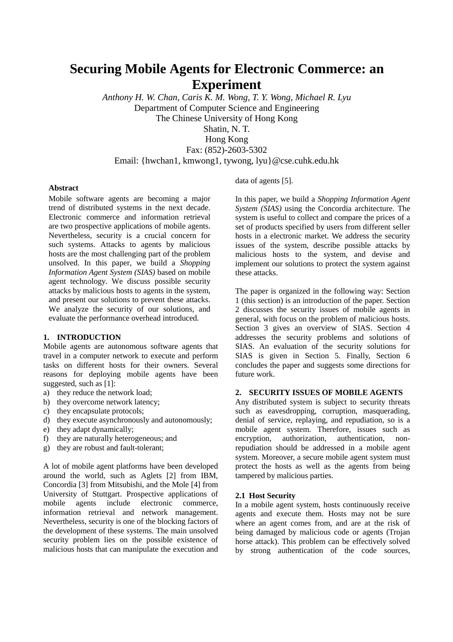# **Securing Mobile Agents for Electronic Commerce: an Experiment**

*Anthony H. W. Chan, Caris K. M. Wong, T. Y. Wong, Michael R. Lyu* Department of Computer Science and Engineering The Chinese University of Hong Kong Shatin, N. T.

Hong Kong

Fax: (852)-2603-5302

Email: {hwchan1, kmwong1, tywong, lyu}@cse.cuhk.edu.hk

# **Abstract**

Mobile software agents are becoming a major trend of distributed systems in the next decade. Electronic commerce and information retrieval are two prospective applications of mobile agents. Nevertheless, security is a crucial concern for such systems. Attacks to agents by malicious hosts are the most challenging part of the problem unsolved. In this paper, we build a *Shopping Information Agent System (SIAS)* based on mobile agent technology. We discuss possible security attacks by malicious hosts to agents in the system, and present our solutions to prevent these attacks. We analyze the security of our solutions, and evaluate the performance overhead introduced.

# **1. INTRODUCTION**

Mobile agents are autonomous software agents that travel in a computer network to execute and perform tasks on different hosts for their owners. Several reasons for deploying mobile agents have been suggested, such as [1]:

- a) they reduce the network load;
- b) they overcome network latency;
- c) they encapsulate protocols;
- d) they execute asynchronously and autonomously;
- e) they adapt dynamically;
- f) they are naturally heterogeneous; and
- g) they are robust and fault-tolerant;

A lot of mobile agent platforms have been developed around the world, such as Aglets [2] from IBM, Concordia [3] from Mitsubishi, and the Mole [4] from University of Stuttgart. Prospective applications of mobile agents include electronic commerce, information retrieval and network management. Nevertheless, security is one of the blocking factors of the development of these systems. The main unsolved security problem lies on the possible existence of malicious hosts that can manipulate the execution and data of agents [5].

In this paper, we build a *Shopping Information Agent System (SIAS)* using the Concordia architecture. The system is useful to collect and compare the prices of a set of products specified by users from different seller hosts in a electronic market. We address the security issues of the system, describe possible attacks by malicious hosts to the system, and devise and implement our solutions to protect the system against these attacks.

The paper is organized in the following way: Section 1 (this section) is an introduction of the paper. Section 2 discusses the security issues of mobile agents in general, with focus on the problem of malicious hosts. Section 3 gives an overview of SIAS. Section 4 addresses the security problems and solutions of SIAS. An evaluation of the security solutions for SIAS is given in Section 5. Finally, Section 6 concludes the paper and suggests some directions for future work.

# **2. SECURITY ISSUES OF MOBILE AGENTS**

Any distributed system is subject to security threats such as eavesdropping, corruption, masquerading, denial of service, replaying, and repudiation, so is a mobile agent system. Therefore, issues such as encryption, authorization, authentication, nonrepudiation should be addressed in a mobile agent system. Moreover, a secure mobile agent system must protect the hosts as well as the agents from being tampered by malicious parties.

# **2.1 Host Security**

In a mobile agent system, hosts continuously receive agents and execute them. Hosts may not be sure where an agent comes from, and are at the risk of being damaged by malicious code or agents (Trojan horse attack). This problem can be effectively solved by strong authentication of the code sources,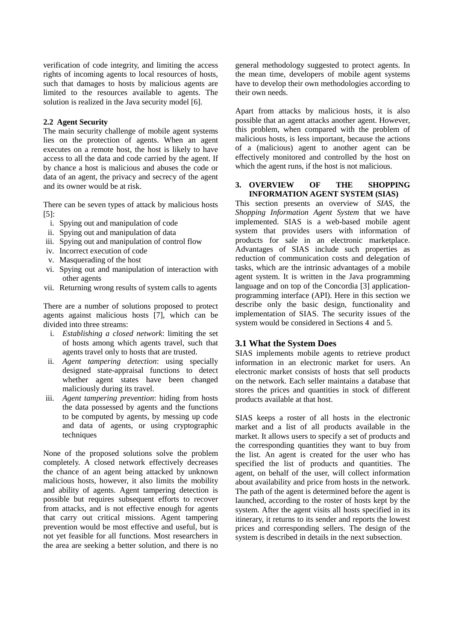verification of code integrity, and limiting the access rights of incoming agents to local resources of hosts, such that damages to hosts by malicious agents are limited to the resources available to agents. The solution is realized in the Java security model [6].

# **2.2 Agent Security**

The main security challenge of mobile agent systems lies on the protection of agents. When an agent executes on a remote host, the host is likely to have access to all the data and code carried by the agent. If by chance a host is malicious and abuses the code or data of an agent, the privacy and secrecy of the agent and its owner would be at risk.

There can be seven types of attack by malicious hosts [5]:

- i. Spying out and manipulation of code
- ii. Spying out and manipulation of data
- iii. Spying out and manipulation of control flow
- iv. Incorrect execution of code
- v. Masquerading of the host
- vi. Spying out and manipulation of interaction with other agents
- vii. Returning wrong results of system calls to agents

There are a number of solutions proposed to protect agents against malicious hosts [7], which can be divided into three streams:

- i. *Establishing a closed network*: limiting the set of hosts among which agents travel, such that agents travel only to hosts that are trusted.
- ii. *Agent tampering detection*: using specially designed state-appraisal functions to detect whether agent states have been changed maliciously during its travel.
- iii. *Agent tampering prevention*: hiding from hosts the data possessed by agents and the functions to be computed by agents, by messing up code and data of agents, or using cryptographic techniques

None of the proposed solutions solve the problem completely. A closed network effectively decreases the chance of an agent being attacked by unknown malicious hosts, however, it also limits the mobility and ability of agents. Agent tampering detection is possible but requires subsequent efforts to recover from attacks, and is not effective enough for agents that carry out critical missions. Agent tampering prevention would be most effective and useful, but is not yet feasible for all functions. Most researchers in the area are seeking a better solution, and there is no

general methodology suggested to protect agents. In the mean time, developers of mobile agent systems have to develop their own methodologies according to their own needs.

Apart from attacks by malicious hosts, it is also possible that an agent attacks another agent. However, this problem, when compared with the problem of malicious hosts, is less important, because the actions of a (malicious) agent to another agent can be effectively monitored and controlled by the host on which the agent runs, if the host is not malicious.

### **3. OVERVIEW OF THE SHOPPING INFORMATION AGENT SYSTEM (SIAS)**

This section presents an overview of *SIAS*, the *Shopping Information Agent System* that we have implemented. SIAS is a web-based mobile agent system that provides users with information of products for sale in an electronic marketplace. Advantages of SIAS include such properties as reduction of communication costs and delegation of tasks, which are the intrinsic advantages of a mobile agent system. It is written in the Java programming language and on top of the Concordia [3] applicationprogramming interface (API). Here in this section we describe only the basic design, functionality and implementation of SIAS. The security issues of the system would be considered in Sections 4 and 5.

# **3.1 What the System Does**

SIAS implements mobile agents to retrieve product information in an electronic market for users. An electronic market consists of hosts that sell products on the network. Each seller maintains a database that stores the prices and quantities in stock of different products available at that host.

SIAS keeps a roster of all hosts in the electronic market and a list of all products available in the market. It allows users to specify a set of products and the corresponding quantities they want to buy from the list. An agent is created for the user who has specified the list of products and quantities. The agent, on behalf of the user, will collect information about availability and price from hosts in the network. The path of the agent is determined before the agent is launched, according to the roster of hosts kept by the system. After the agent visits all hosts specified in its itinerary, it returns to its sender and reports the lowest prices and corresponding sellers. The design of the system is described in details in the next subsection.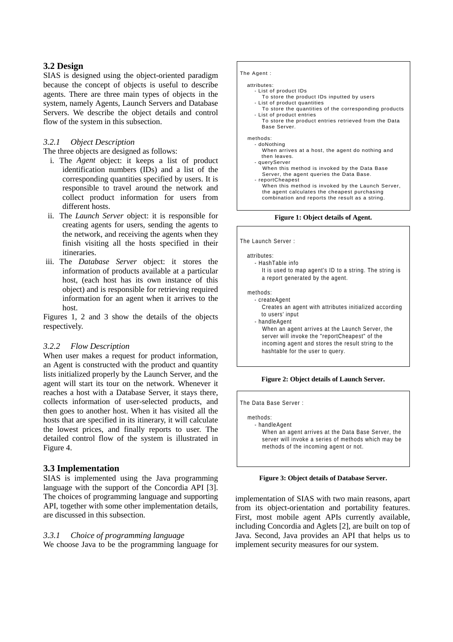# **3.2 Design**

SIAS is designed using the object-oriented paradigm because the concept of objects is useful to describe agents. There are three main types of objects in the system, namely Agents, Launch Servers and Database Servers. We describe the object details and control flow of the system in this subsection.

# *3.2.1 Object Description*

The three objects are designed as follows:

- i. The *Agent* object: it keeps a list of product identification numbers (IDs) and a list of the corresponding quantities specified by users. It is responsible to travel around the network and collect product information for users from different hosts.
- ii. The *Launch Server* object: it is responsible for creating agents for users, sending the agents to the network, and receiving the agents when they finish visiting all the hosts specified in their itineraries.
- iii. The *Database Server* object: it stores the information of products available at a particular host, (each host has its own instance of this object) and is responsible for retrieving required information for an agent when it arrives to the host.

Figures 1, 2 and 3 show the details of the objects respectively.

# *3.2.2 Flow Description*

When user makes a request for product information, an Agent is constructed with the product and quantity lists initialized properly by the Launch Server, and the agent will start its tour on the network. Whenever it reaches a host with a Database Server, it stays there, collects information of user-selected products, and then goes to another host. When it has visited all the hosts that are specified in its itinerary, it will calculate the lowest prices, and finally reports to user. The detailed control flow of the system is illustrated in Figure 4.

# **3.3 Implementation**

SIAS is implemented using the Java programming language with the support of the Concordia API [3]. The choices of programming language and supporting API, together with some other implementation details, are discussed in this subsection.

# *3.3.1 Choice of programming language*

We choose Java to be the programming language for



**Figure 1: Object details of Agent.**

| The Launch Server:                                                                                                                                                                                                                                                                                                     |  |
|------------------------------------------------------------------------------------------------------------------------------------------------------------------------------------------------------------------------------------------------------------------------------------------------------------------------|--|
| attributes:<br>- HashTable info<br>It is used to map agent's ID to a string. The string is<br>a report generated by the agent.                                                                                                                                                                                         |  |
| methods:<br>- createAgent<br>Creates an agent with attributes initialized according<br>to users' input<br>- handleAgent<br>When an agent arrives at the Launch Server, the<br>server will invoke the "reportCheapest" of the<br>incoming agent and stores the result string to the<br>hashtable for the user to query. |  |

**Figure 2: Object details of Launch Server.**

The Data Base Server :

 methods: - handleAgent When an agent arrives at the Data Base Server, the server will invoke a series of methods which may be methods of the incoming agent or not.

**Figure 3: Object details of Database Server.**

implementation of SIAS with two main reasons, apart from its object-orientation and portability features. First, most mobile agent APIs currently available, including Concordia and Aglets [2], are built on top of Java. Second, Java provides an API that helps us to implement security measures for our system.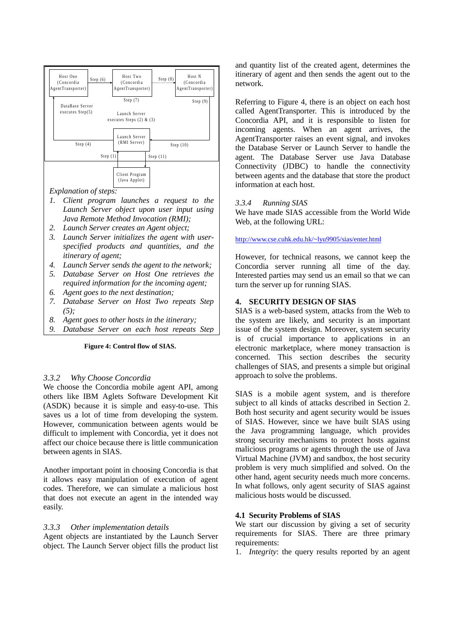

*Explanation of steps:*

- *1. Client program launches a request to the Launch Server object upon user input using Java Remote Method Invocation (RMI);*
- *2. Launch Server creates an Agent object;*
- *3. Launch Server initializes the agent with userspecified products and quantities, and the itinerary of agent;*
- *4. Launch Server sends the agent to the network;*
- *5. Database Server on Host One retrieves the required information for the incoming agent;*
- *6. Agent goes to the next destination;*
- *7. Database Server on Host Two repeats Step (5);*
- *8. Agent goes to other hosts in the itinerary;*
- *9. Database Server on each host repeats Step*

#### **Figure 4: Control flow of SIAS.**

# *3.3.2 Why Choose Concordia*

We choose the Concordia mobile agent API, among others like IBM Aglets Software Development Kit (ASDK) because it is simple and easy-to-use. This saves us a lot of time from developing the system. However, communication between agents would be difficult to implement with Concordia, yet it does not affect our choice because there is little communication between agents in SIAS.

Another important point in choosing Concordia is that it allows easy manipulation of execution of agent codes. Therefore, we can simulate a malicious host that does not execute an agent in the intended way easily.

#### *3.3.3 Other implementation details*

Agent objects are instantiated by the Launch Server object. The Launch Server object fills the product list

and quantity list of the created agent, determines the itinerary of agent and then sends the agent out to the network.

Referring to Figure 4, there is an object on each host called AgentTransporter. This is introduced by the Concordia API, and it is responsible to listen for incoming agents. When an agent arrives, the AgentTransporter raises an event signal, and invokes the Database Server or Launch Server to handle the agent. The Database Server use Java Database Connectivity (JDBC) to handle the connectivity between agents and the database that store the product information at each host.

#### *3.3.4 Running SIAS*

We have made SIAS accessible from the World Wide Web, at the following URL:

## http://www.cse.cuhk.edu.hk/~lyu9905/sias/enter.html

However, for technical reasons, we cannot keep the Concordia server running all time of the day. Interested parties may send us an email so that we can turn the server up for running SIAS.

## **4. SECURITY DESIGN OF SIAS**

SIAS is a web-based system, attacks from the Web to the system are likely, and security is an important issue of the system design. Moreover, system security is of crucial importance to applications in an electronic marketplace, where money transaction is concerned. This section describes the security challenges of SIAS, and presents a simple but original approach to solve the problems.

SIAS is a mobile agent system, and is therefore subject to all kinds of attacks described in Section 2. Both host security and agent security would be issues of SIAS. However, since we have built SIAS using the Java programming language, which provides strong security mechanisms to protect hosts against malicious programs or agents through the use of Java Virtual Machine (JVM) and sandbox, the host security problem is very much simplified and solved. On the other hand, agent security needs much more concerns. In what follows, only agent security of SIAS against malicious hosts would be discussed.

# **4.1 Security Problems of SIAS**

We start our discussion by giving a set of security requirements for SIAS. There are three primary requirements:

1. *Integrity*: the query results reported by an agent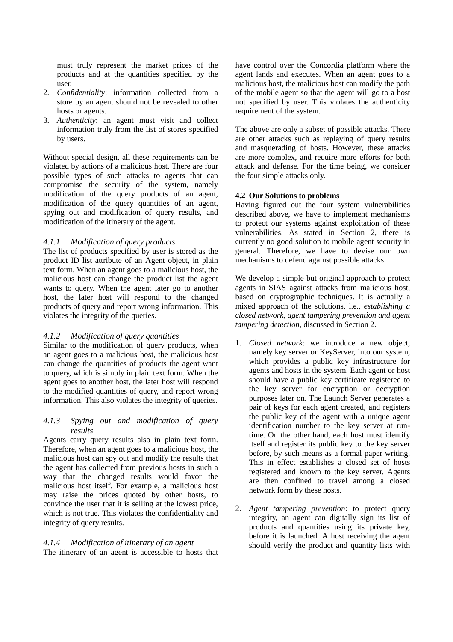must truly represent the market prices of the products and at the quantities specified by the user.

- 2. *Confidentiality*: information collected from a store by an agent should not be revealed to other hosts or agents.
- 3. *Authenticity*: an agent must visit and collect information truly from the list of stores specified by users.

Without special design, all these requirements can be violated by actions of a malicious host. There are four possible types of such attacks to agents that can compromise the security of the system, namely modification of the query products of an agent, modification of the query quantities of an agent, spying out and modification of query results, and modification of the itinerary of the agent.

# *4.1.1 Modification of query products*

The list of products specified by user is stored as the product ID list attribute of an Agent object, in plain text form. When an agent goes to a malicious host, the malicious host can change the product list the agent wants to query. When the agent later go to another host, the later host will respond to the changed products of query and report wrong information. This violates the integrity of the queries.

# *4.1.2 Modification of query quantities*

Similar to the modification of query products, when an agent goes to a malicious host, the malicious host can change the quantities of products the agent want to query, which is simply in plain text form. When the agent goes to another host, the later host will respond to the modified quantities of query, and report wrong information. This also violates the integrity of queries.

# *4.1.3 Spying out and modification of query results*

Agents carry query results also in plain text form. Therefore, when an agent goes to a malicious host, the malicious host can spy out and modify the results that the agent has collected from previous hosts in such a way that the changed results would favor the malicious host itself. For example, a malicious host may raise the prices quoted by other hosts, to convince the user that it is selling at the lowest price, which is not true. This violates the confidentiality and integrity of query results.

# *4.1.4 Modification of itinerary of an agent*

The itinerary of an agent is accessible to hosts that

have control over the Concordia platform where the agent lands and executes. When an agent goes to a malicious host, the malicious host can modify the path of the mobile agent so that the agent will go to a host not specified by user. This violates the authenticity requirement of the system.

The above are only a subset of possible attacks. There are other attacks such as replaying of query results and masquerading of hosts. However, these attacks are more complex, and require more efforts for both attack and defense. For the time being, we consider the four simple attacks only.

# **4.2 Our Solutions to problems**

Having figured out the four system vulnerabilities described above, we have to implement mechanisms to protect our systems against exploitation of these vulnerabilities. As stated in Section 2, there is currently no good solution to mobile agent security in general. Therefore, we have to devise our own mechanisms to defend against possible attacks.

We develop a simple but original approach to protect agents in SIAS against attacks from malicious host, based on cryptographic techniques. It is actually a mixed approach of the solutions, i.e., *establishing a closed network, agent tampering prevention and agent tampering detection*, discussed in Section 2.

- 1. *Closed network*: we introduce a new object, namely key server or KeyServer, into our system, which provides a public key infrastructure for agents and hosts in the system. Each agent or host should have a public key certificate registered to the key server for encryption or decryption purposes later on. The Launch Server generates a pair of keys for each agent created, and registers the public key of the agent with a unique agent identification number to the key server at runtime. On the other hand, each host must identify itself and register its public key to the key server before, by such means as a formal paper writing. This in effect establishes a closed set of hosts registered and known to the key server. Agents are then confined to travel among a closed network form by these hosts.
- 2. *Agent tampering prevention*: to protect query integrity, an agent can digitally sign its list of products and quantities using its private key, before it is launched. A host receiving the agent should verify the product and quantity lists with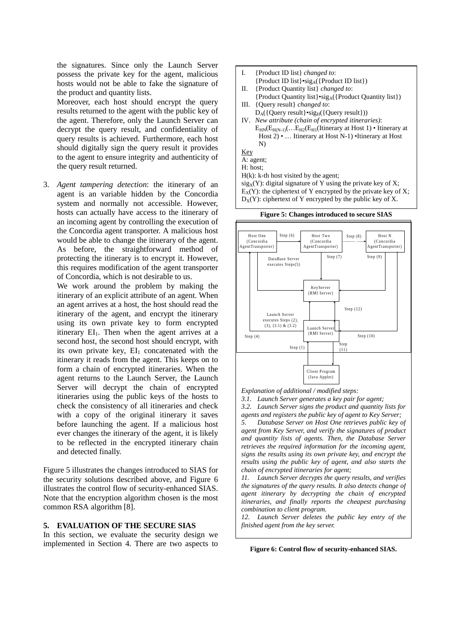the signatures. Since only the Launch Server possess the private key for the agent, malicious hosts would not be able to fake the signature of the product and quantity lists.

Moreover, each host should encrypt the query results returned to the agent with the public key of the agent. Therefore, only the Launch Server can decrypt the query result, and confidentiality of query results is achieved. Furthermore, each host should digitally sign the query result it provides to the agent to ensure integrity and authenticity of the query result returned.

3. *Agent tampering detection*: the itinerary of an agent is an variable hidden by the Concordia system and normally not accessible. However, hosts can actually have access to the itinerary of an incoming agent by controlling the execution of the Concordia agent transporter. A malicious host would be able to change the itinerary of the agent. As before, the straightforward method of protecting the itinerary is to encrypt it. However, this requires modification of the agent transporter of Concordia, which is not desirable to us.

We work around the problem by making the itinerary of an explicit attribute of an agent. When an agent arrives at a host, the host should read the itinerary of the agent, and encrypt the itinerary using its own private key to form encrypted itinerary  $EI_1$ . Then when the agent arrives at a second host, the second host should encrypt, with its own private key,  $EI_1$  concatenated with the itinerary it reads from the agent. This keeps on to form a chain of encrypted itineraries. When the agent returns to the Launch Server, the Launch Server will decrypt the chain of encrypted itineraries using the public keys of the hosts to check the consistency of all itineraries and check with a copy of the original itinerary it saves before launching the agent. If a malicious host ever changes the itinerary of the agent, it is likely to be reflected in the encrypted itinerary chain and detected finally.

Figure 5 illustrates the changes introduced to SIAS for the security solutions described above, and Figure 6 illustrates the control flow of security-enhanced SIAS. Note that the encryption algorithm chosen is the most common RSA algorithm [8].

# **5. EVALUATION OF THE SECURE SIAS**

In this section, we evaluate the security design we implemented in Section 4. There are two aspects to

- I. {Product ID list} *changed to*:
- ${Product ID list} \s{sig<sub>A</sub>({Product ID list}})$
- II. {Product Quantity list} *changed to*:
- ${Product$  Quantity list $\cdot$ sig<sub>A</sub>( ${Product$  Quantity list $})$ III. {Query result} *changed to*:
- $D_A({\text{Query result}}) \cdot \text{sig}_{H}({\text{Query result}}))$ IV. *New attribute (chain of encrypted itineraries)*:
- $E_{HN}(E_{HN-1})(...E_{H2}(E_{H1}(Itinerary at Host 1))$  Itinerary at Host 2) • … Itinerary at Host N-1) •Itinerary at Host N)

Key

A: agent;  $H<sup>+</sup> host<sup>+</sup>$ 

 $H(k)$ : k-th host visited by the agent;

 $sig_x(Y)$ : digital signature of Y using the private key of X;

 $E_X(Y)$ : the ciphertext of Y encrypted by the private key of X;  $D_X(Y)$ : ciphertext of Y encrypted by the public key of X.



**Figure 5: Changes introduced to secure SIAS**

*Explanation of additional / modified steps:*

*3.1. Launch Server generates a key pair for agent;*

*3.2. Launch Server signs the product and quantity lists for agents and registers the public key of agent to Key Server;*

*5. Database Server on Host One retrieves public key of agent from Key Server, and verify the signatures of product and quantity lists of agents. Then, the Database Server retrieves the required information for the incoming agent, signs the results using its own private key, and encrypt the results using the public key of agent, and also starts the chain of encrypted itineraries for agent;*

*11. Launch Server decrypts the query results, and verifies the signatures of the query results. It also detects change of agent itinerary by decrypting the chain of encrypted itineraries, and finally reports the cheapest purchasing combination to client program.*

*12. Launch Server deletes the public key entry of the finished agent from the key server.*

**Figure 6: Control flow of security-enhanced SIAS.**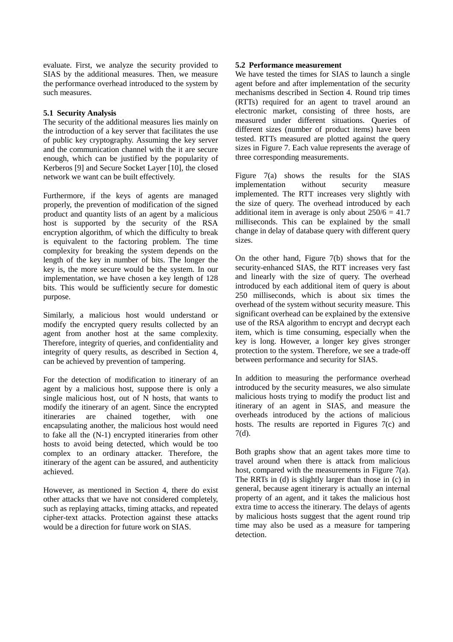evaluate. First, we analyze the security provided to SIAS by the additional measures. Then, we measure the performance overhead introduced to the system by such measures.

## **5.1 Security Analysis**

The security of the additional measures lies mainly on the introduction of a key server that facilitates the use of public key cryptography. Assuming the key server and the communication channel with the it are secure enough, which can be justified by the popularity of Kerberos [9] and Secure Socket Layer [10], the closed network we want can be built effectively.

Furthermore, if the keys of agents are managed properly, the prevention of modification of the signed product and quantity lists of an agent by a malicious host is supported by the security of the RSA encryption algorithm, of which the difficulty to break is equivalent to the factoring problem. The time complexity for breaking the system depends on the length of the key in number of bits. The longer the key is, the more secure would be the system. In our implementation, we have chosen a key length of 128 bits. This would be sufficiently secure for domestic purpose.

Similarly, a malicious host would understand or modify the encrypted query results collected by an agent from another host at the same complexity. Therefore, integrity of queries, and confidentiality and integrity of query results, as described in Section 4, can be achieved by prevention of tampering.

For the detection of modification to itinerary of an agent by a malicious host, suppose there is only a single malicious host, out of N hosts, that wants to modify the itinerary of an agent. Since the encrypted itineraries are chained together, with one encapsulating another, the malicious host would need to fake all the (N-1) encrypted itineraries from other hosts to avoid being detected, which would be too complex to an ordinary attacker. Therefore, the itinerary of the agent can be assured, and authenticity achieved.

However, as mentioned in Section 4, there do exist other attacks that we have not considered completely, such as replaying attacks, timing attacks, and repeated cipher-text attacks. Protection against these attacks would be a direction for future work on SIAS.

#### **5.2 Performance measurement**

We have tested the times for SIAS to launch a single agent before and after implementation of the security mechanisms described in Section 4. Round trip times (RTTs) required for an agent to travel around an electronic market, consisting of three hosts, are measured under different situations. Queries of different sizes (number of product items) have been tested. RTTs measured are plotted against the query sizes in Figure 7. Each value represents the average of three corresponding measurements.

Figure 7(a) shows the results for the SIAS implementation without security measure implemented. The RTT increases very slightly with the size of query. The overhead introduced by each additional item in average is only about  $250/6 = 41.7$ milliseconds. This can be explained by the small change in delay of database query with different query sizes.

On the other hand, Figure 7(b) shows that for the security-enhanced SIAS, the RTT increases very fast and linearly with the size of query. The overhead introduced by each additional item of query is about 250 milliseconds, which is about six times the overhead of the system without security measure. This significant overhead can be explained by the extensive use of the RSA algorithm to encrypt and decrypt each item, which is time consuming, especially when the key is long. However, a longer key gives stronger protection to the system. Therefore, we see a trade-off between performance and security for SIAS.

In addition to measuring the performance overhead introduced by the security measures, we also simulate malicious hosts trying to modify the product list and itinerary of an agent in SIAS, and measure the overheads introduced by the actions of malicious hosts. The results are reported in Figures 7(c) and 7(d).

Both graphs show that an agent takes more time to travel around when there is attack from malicious host, compared with the measurements in Figure 7(a). The RRTs in (d) is slightly larger than those in (c) in general, because agent itinerary is actually an internal property of an agent, and it takes the malicious host extra time to access the itinerary. The delays of agents by malicious hosts suggest that the agent round trip time may also be used as a measure for tampering detection.